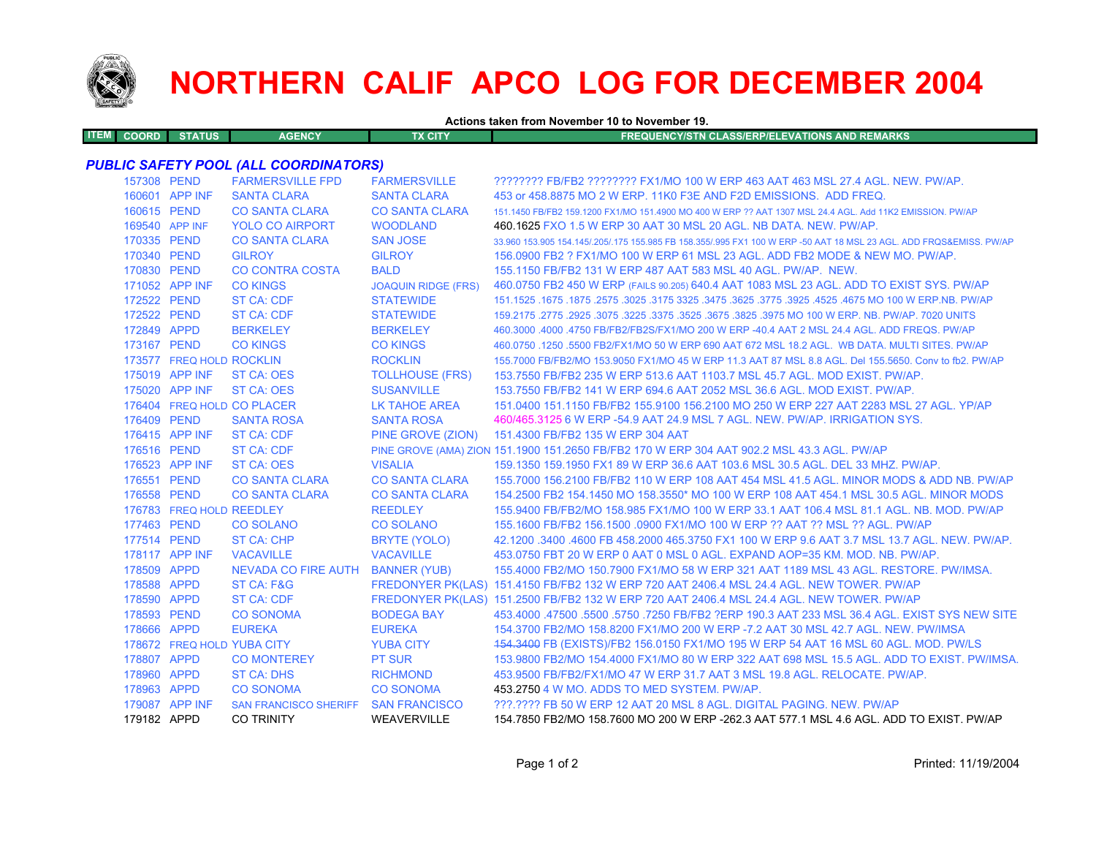

## **NORTHERN CALIF APCO LOG FOR DECEMBER 2004**

**Actions taken from November 10 to November 19.**

| <b>ITEM COORD</b> | <b>STATUS</b> | <b>AGENCY</b> | TX CITY | FREQUENCY/STN CLASS/ERP/ELEVATIONS AND REMARKS |
|-------------------|---------------|---------------|---------|------------------------------------------------|
|                   |               |               |         |                                                |

## *PUBLIC SAFETY POOL (ALL COORDINATORS)*

| 157308 PEND |                          | <b>FARMERSVILLE FPD</b>             | <b>FARMERSVILLE</b>        | ???????? FB/FB2 ???????? FX1/MO 100 W ERP 463 AAT 463 MSL 27.4 AGL. NEW. PW/AP.                                     |
|-------------|--------------------------|-------------------------------------|----------------------------|---------------------------------------------------------------------------------------------------------------------|
|             | 160601 APP INF           | <b>SANTA CLARA</b>                  | <b>SANTA CLARA</b>         | 453 or 458,8875 MO 2 W ERP, 11K0 F3E AND F2D EMISSIONS. ADD FREQ.                                                   |
| 160615 PEND |                          | <b>CO SANTA CLARA</b>               | <b>CO SANTA CLARA</b>      | 151.1450 FB/FB2 159.1200 FX1/MO 151.4900 MO 400 W ERP ?? AAT 1307 MSL 24.4 AGL. Add 11K2 EMISSION, PW/AP            |
|             | 169540 APP INF           | <b>YOLO CO AIRPORT</b>              | <b>WOODLAND</b>            | 460.1625 FXO 1.5 W ERP 30 AAT 30 MSL 20 AGL. NB DATA. NEW. PW/AP.                                                   |
| 170335 PEND |                          | <b>CO SANTA CLARA</b>               | <b>SAN JOSE</b>            | 33,960 153,905 154,145/.205/.175 155,985 FB 158,355/.995 FX1 100 W ERP -50 AAT 18 MSL 23 AGL, ADD FRQS&EMISS, PW/AP |
| 170340 PEND |                          | <b>GILROY</b>                       | <b>GILROY</b>              | 156,0900 FB2 ? FX1/MO 100 W ERP 61 MSL 23 AGL. ADD FB2 MODE & NEW MO, PW/AP.                                        |
| 170830 PEND |                          | <b>CO CONTRA COSTA</b>              | <b>BALD</b>                | 155,1150 FB/FB2 131 W ERP 487 AAT 583 MSL 40 AGL, PW/AP, NEW.                                                       |
|             | 171052 APP INF           | <b>CO KINGS</b>                     | <b>JOAQUIN RIDGE (FRS)</b> | 460.0750 FB2 450 W ERP (FAILS 90.205) 640.4 AAT 1083 MSL 23 AGL. ADD TO EXIST SYS. PW/AP                            |
| 172522 PEND |                          | <b>ST CA: CDF</b>                   | <b>STATEWIDE</b>           | 151.1525 .1675 .1875 .2575 .3025 .3175 3325 .3475 .3625 .3775 .3925 .4525 .4675 MO 100 W ERP.NB. PW/AP              |
| 172522 PEND |                          | <b>ST CA: CDF</b>                   | <b>STATEWIDE</b>           | 159.2175 .2775 .2925 .3075 .3225 .3375 .3525 .3675 .3825 .3975 MO 100 W ERP. NB. PW/AP. 7020 UNITS                  |
| 172849 APPD |                          | <b>BERKELEY</b>                     | <b>BERKELEY</b>            | 460.3000 .4000 .4750 FB/FB2/FB2S/FX1/MO 200 W ERP -40.4 AAT 2 MSL 24.4 AGL. ADD FREQS. PW/AP                        |
| 173167 PEND |                          | <b>CO KINGS</b>                     | <b>CO KINGS</b>            | 460.0750 .1250 .5500 FB2/FX1/MO 50 W ERP 690 AAT 672 MSL 18.2 AGL. WB DATA, MULTI SITES, PW/AP                      |
|             | 173577 FREQ HOLD ROCKLIN |                                     | <b>ROCKLIN</b>             | 155,7000 FB/FB2/MO 153,9050 FX1/MO 45 W ERP 11.3 AAT 87 MSL 8.8 AGL, Del 155,5650, Conv to fb2, PW/AP               |
|             | 175019 APP INF           | ST CA: OES                          | <b>TOLLHOUSE (FRS)</b>     | 153.7550 FB/FB2 235 W ERP 513.6 AAT 1103.7 MSL 45.7 AGL, MOD EXIST, PW/AP.                                          |
|             | 175020 APP INF           | ST CA: OES                          | <b>SUSANVILLE</b>          | 153.7550 FB/FB2 141 W ERP 694.6 AAT 2052 MSL 36.6 AGL, MOD EXIST, PW/AP.                                            |
|             |                          | 176404 FREQ HOLD CO PLACER          | LK TAHOE AREA              | 151,0400 151,1150 FB/FB2 155,9100 156,2100 MO 250 W ERP 227 AAT 2283 MSL 27 AGL, YP/AP                              |
| 176409 PEND |                          | <b>SANTA ROSA</b>                   | <b>SANTA ROSA</b>          | 460/465.3125 6 W ERP -54.9 AAT 24.9 MSL 7 AGL. NEW. PW/AP. IRRIGATION SYS.                                          |
|             | 176415 APP INF           | <b>ST CA: CDF</b>                   | PINE GROVE (ZION)          | 151.4300 FB/FB2 135 W ERP 304 AAT                                                                                   |
| 176516 PEND |                          | <b>ST CA: CDF</b>                   |                            | PINE GROVE (AMA) ZION 151.1900 151.2650 FB/FB2 170 W ERP 304 AAT 902.2 MSL 43.3 AGL. PW/AP                          |
|             | 176523 APP INF           | <b>ST CA: OES</b>                   | <b>VISALIA</b>             | 159.1350 159.1950 FX1 89 W ERP 36.6 AAT 103.6 MSL 30.5 AGL, DEL 33 MHZ, PW/AP,                                      |
| 176551 PEND |                          | <b>CO SANTA CLARA</b>               | <b>CO SANTA CLARA</b>      | 155,7000 156,2100 FB/FB2 110 W ERP 108 AAT 454 MSL 41.5 AGL, MINOR MODS & ADD NB, PW/AP                             |
| 176558 PEND |                          | <b>CO SANTA CLARA</b>               | <b>CO SANTA CLARA</b>      | 154,2500 FB2 154,1450 MO 158,3550* MO 100 W ERP 108 AAT 454,1 MSL 30.5 AGL, MINOR MODS                              |
|             | 176783 FREQ HOLD REEDLEY |                                     | <b>REEDLEY</b>             | 155,9400 FB/FB2/MO 158,985 FX1/MO 100 W ERP 33.1 AAT 106.4 MSL 81.1 AGL, NB, MOD, PW/AP                             |
| 177463 PEND |                          | <b>CO SOLANO</b>                    | <b>CO SOLANO</b>           | 155,1600 FB/FB2 156,1500 ,0900 FX1/MO 100 W ERP ?? AAT ?? MSL ?? AGL, PW/AP                                         |
| 177514 PEND |                          | ST CA: CHP                          | BRYTE (YOLO)               | 42.1200 .3400 .4600 FB 458.2000 465.3750 FX1 100 W ERP 9.6 AAT 3.7 MSL 13.7 AGL, NEW, PW/AP,                        |
|             | 178117 APP INF           | <b>VACAVILLE</b>                    | <b>VACAVILLE</b>           | 453.0750 FBT 20 W ERP 0 AAT 0 MSL 0 AGL. EXPAND AOP=35 KM. MOD. NB. PW/AP.                                          |
| 178509 APPD |                          | NEVADA CO FIRE AUTH BANNER (YUB)    |                            | 155,4000 FB2/MO 150,7900 FX1/MO 58 W ERP 321 AAT 1189 MSL 43 AGL, RESTORE, PW/IMSA,                                 |
| 178588 APPD |                          | ST CA: F&G                          |                            | FREDONYER PK(LAS) 151.4150 FB/FB2 132 W ERP 720 AAT 2406.4 MSL 24.4 AGL. NEW TOWER. PW/AP                           |
| 178590 APPD |                          | ST CA: CDF                          |                            | FREDONYER PK(LAS) 151.2500 FB/FB2 132 W ERP 720 AAT 2406.4 MSL 24.4 AGL. NEW TOWER. PW/AP                           |
| 178593 PEND |                          | <b>CO SONOMA</b>                    | <b>BODEGA BAY</b>          | 453.4000 .47500 .5500 .5750 .7250 FB/FB2 ?ERP 190.3 AAT 233 MSL 36.4 AGL. EXIST SYS NEW SITE                        |
| 178666 APPD |                          | <b>EUREKA</b>                       | <b>EUREKA</b>              | 154.3700 FB2/MO 158.8200 FX1/MO 200 W ERP -7.2 AAT 30 MSL 42.7 AGL. NEW. PW/IMSA                                    |
|             |                          | 178672 FREQ HOLD YUBA CITY          | <b>YUBA CITY</b>           | 154.3400 FB (EXISTS)/FB2 156.0150 FX1/MO 195 W ERP 54 AAT 16 MSL 60 AGL. MOD. PW/LS                                 |
| 178807 APPD |                          | <b>CO MONTEREY</b>                  | <b>PT SUR</b>              | 153.9800 FB2/MO 154.4000 FX1/MO 80 W ERP 322 AAT 698 MSL 15.5 AGL. ADD TO EXIST. PW/IMSA.                           |
| 178960 APPD |                          | <b>ST CA: DHS</b>                   | <b>RICHMOND</b>            | 453,9500 FB/FB2/FX1/MO 47 W ERP 31.7 AAT 3 MSL 19.8 AGL. RELOCATE, PW/AP.                                           |
| 178963 APPD |                          | <b>CO SONOMA</b>                    | <b>CO SONOMA</b>           | 453.2750 4 W MO. ADDS TO MED SYSTEM. PW/AP.                                                                         |
|             | 179087 APP INF           | SAN FRANCISCO SHERIFF SAN FRANCISCO |                            | ???.???? FB 50 W ERP 12 AAT 20 MSL 8 AGL. DIGITAL PAGING. NEW. PW/AP                                                |
| 179182 APPD |                          | <b>CO TRINITY</b>                   | <b>WEAVERVILLE</b>         | 154.7850 FB2/MO 158.7600 MO 200 W ERP -262.3 AAT 577.1 MSL 4.6 AGL, ADD TO EXIST, PW/AP                             |